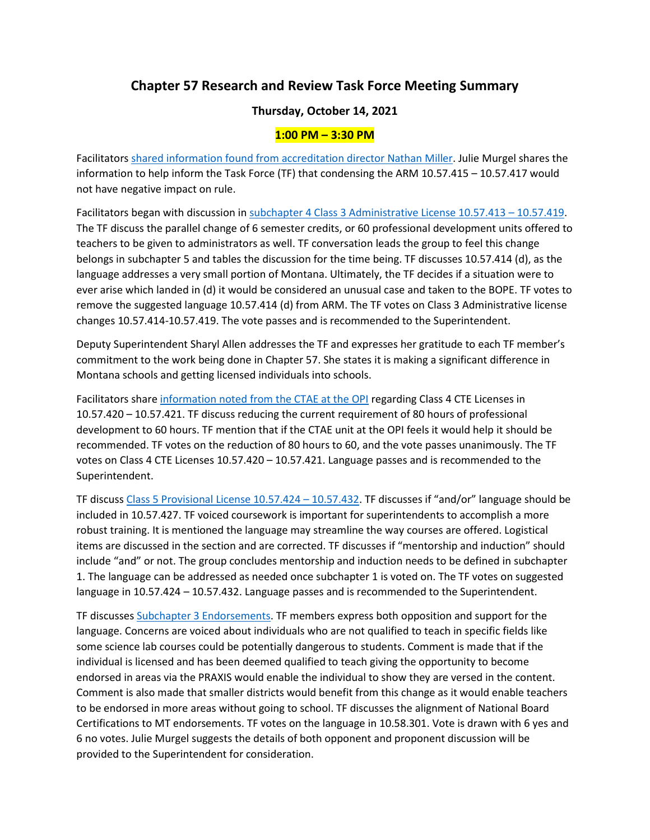## **Chapter 57 Research and Review Task Force Meeting Summary**

## **Thursday, October 14, 2021**

## **1:00 PM – 3:30 PM**

Facilitator[s shared information found from accreditation director Nathan Miller.](https://docs.google.com/presentation/d/1OO4-lg4gzyt2vaDUmq76_0S9e1kf2Wog/edit?usp=sharing&ouid=103980653118195900680&rtpof=true&sd=true) Julie Murgel shares the information to help inform the Task Force (TF) that condensing the ARM 10.57.415 – 10.57.417 would not have negative impact on rule.

Facilitators began with discussion in [subchapter 4 Class 3 Administrative License 10.57.413](https://docs.google.com/document/d/1Nyn3UcjRxTzoEneZ5VwslU4p9j7UdNBFygLTCj7_IyY/edit?usp=sharing) – 10.57.419. The TF discuss the parallel change of 6 semester credits, or 60 professional development units offered to teachers to be given to administrators as well. TF conversation leads the group to feel this change belongs in subchapter 5 and tables the discussion for the time being. TF discusses 10.57.414 (d), as the language addresses a very small portion of Montana. Ultimately, the TF decides if a situation were to ever arise which landed in (d) it would be considered an unusual case and taken to the BOPE. TF votes to remove the suggested language 10.57.414 (d) from ARM. The TF votes on Class 3 Administrative license changes 10.57.414-10.57.419. The vote passes and is recommended to the Superintendent.

Deputy Superintendent Sharyl Allen addresses the TF and expresses her gratitude to each TF member's commitment to the work being done in Chapter 57. She states it is making a significant difference in Montana schools and getting licensed individuals into schools.

Facilitators share [information noted from the CTAE at the OPI](https://docs.google.com/presentation/d/1OO4-lg4gzyt2vaDUmq76_0S9e1kf2Wog/edit?usp=sharing&ouid=103980653118195900680&rtpof=true&sd=true) regarding Class 4 CTE Licenses in 10.57.420 – 10.57.421. TF discuss reducing the current requirement of 80 hours of professional development to 60 hours. TF mention that if the CTAE unit at the OPI feels it would help it should be recommended. TF votes on the reduction of 80 hours to 60, and the vote passes unanimously. The TF votes on Class 4 CTE Licenses 10.57.420 – 10.57.421. Language passes and is recommended to the Superintendent.

TF discuss [Class 5 Provisional License 10.57.424](https://docs.google.com/document/d/1Nyn3UcjRxTzoEneZ5VwslU4p9j7UdNBFygLTCj7_IyY/edit?usp=sharing) – 10.57.432. TF discusses if "and/or" language should be included in 10.57.427. TF voiced coursework is important for superintendents to accomplish a more robust training. It is mentioned the language may streamline the way courses are offered. Logistical items are discussed in the section and are corrected. TF discusses if "mentorship and induction" should include "and" or not. The group concludes mentorship and induction needs to be defined in subchapter 1. The language can be addressed as needed once subchapter 1 is voted on. The TF votes on suggested language in 10.57.424 – 10.57.432. Language passes and is recommended to the Superintendent.

TF discusses [Subchapter 3 Endorsements.](https://docs.google.com/document/d/1S7K0vi3M0pTni_3ucEP5AnbrN4P3N996ZrG1Mmjp5cs/edit?usp=sharing) TF members express both opposition and support for the language. Concerns are voiced about individuals who are not qualified to teach in specific fields like some science lab courses could be potentially dangerous to students. Comment is made that if the individual is licensed and has been deemed qualified to teach giving the opportunity to become endorsed in areas via the PRAXIS would enable the individual to show they are versed in the content. Comment is also made that smaller districts would benefit from this change as it would enable teachers to be endorsed in more areas without going to school. TF discusses the alignment of National Board Certifications to MT endorsements. TF votes on the language in 10.58.301. Vote is drawn with 6 yes and 6 no votes. Julie Murgel suggests the details of both opponent and proponent discussion will be provided to the Superintendent for consideration.